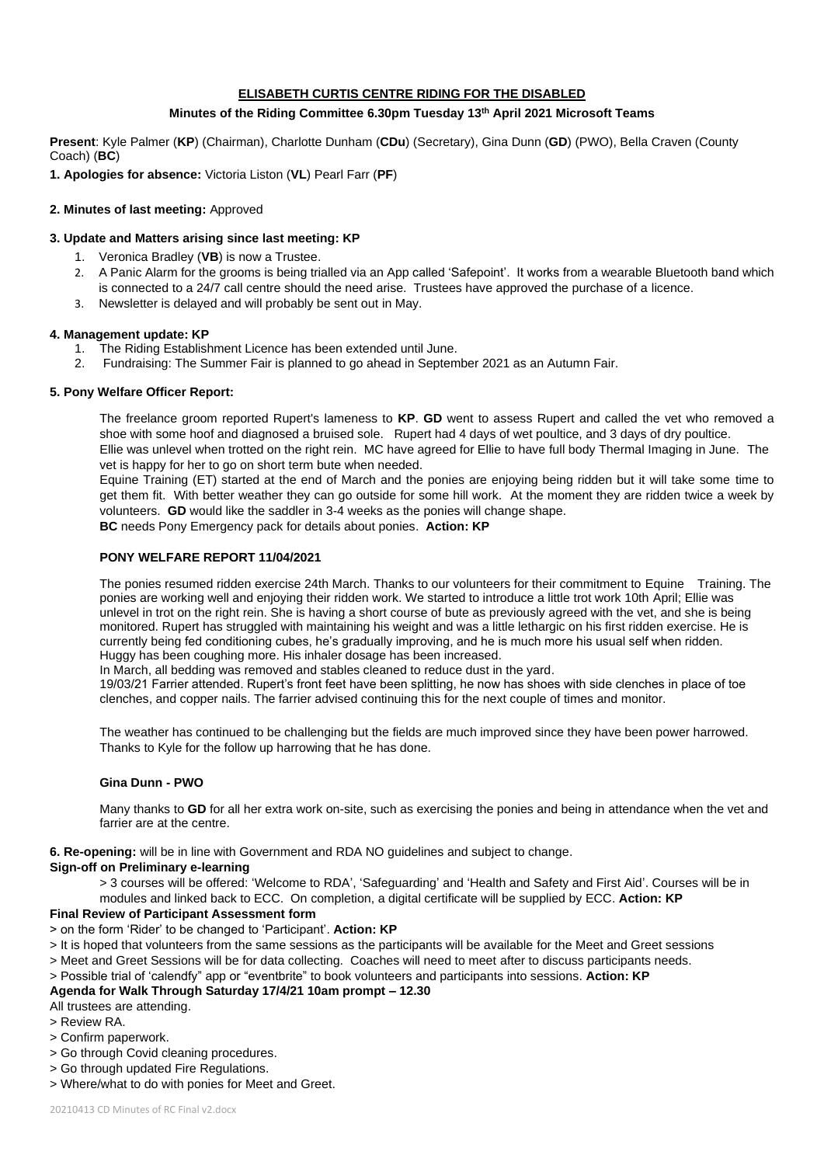## **ELISABETH CURTIS CENTRE RIDING FOR THE DISABLED**

#### **Minutes of the Riding Committee 6.30pm Tuesday 13 th April 2021 Microsoft Teams**

**Present**: Kyle Palmer (**KP**) (Chairman), Charlotte Dunham (**CDu**) (Secretary), Gina Dunn (**GD**) (PWO), Bella Craven (County Coach) (**BC**)

**1. Apologies for absence:** Victoria Liston (**VL**) Pearl Farr (**PF**)

## **2. Minutes of last meeting:** Approved

#### **3. Update and Matters arising since last meeting: KP**

- 1. Veronica Bradley (**VB**) is now a Trustee.
- 2. A Panic Alarm for the grooms is being trialled via an App called 'Safepoint'. It works from a wearable Bluetooth band which is connected to a 24/7 call centre should the need arise. Trustees have approved the purchase of a licence.
- 3. Newsletter is delayed and will probably be sent out in May.

#### **4. Management update: KP**

- 1. The Riding Establishment Licence has been extended until June.
- 2. Fundraising: The Summer Fair is planned to go ahead in September 2021 as an Autumn Fair.

## **5. Pony Welfare Officer Report:**

 The freelance groom reported Rupert's lameness to **KP**. **GD** went to assess Rupert and called the vet who removed a shoe with some hoof and diagnosed a bruised sole. Rupert had 4 days of wet poultice, and 3 days of dry poultice. Ellie was unlevel when trotted on the right rein. MC have agreed for Ellie to have full body Thermal Imaging in June. The vet is happy for her to go on short term bute when needed.

Equine Training (ET) started at the end of March and the ponies are enjoying being ridden but it will take some time to get them fit. With better weather they can go outside for some hill work. At the moment they are ridden twice a week by volunteers. **GD** would like the saddler in 3-4 weeks as the ponies will change shape. **BC** needs Pony Emergency pack for details about ponies. **Action: KP**

#### **PONY WELFARE REPORT 11/04/2021**

The ponies resumed ridden exercise 24th March. Thanks to our volunteers for their commitment to Equine Training. The ponies are working well and enjoying their ridden work. We started to introduce a little trot work 10th April; Ellie was unlevel in trot on the right rein. She is having a short course of bute as previously agreed with the vet, and she is being monitored. Rupert has struggled with maintaining his weight and was a little lethargic on his first ridden exercise. He is currently being fed conditioning cubes, he's gradually improving, and he is much more his usual self when ridden. Huggy has been coughing more. His inhaler dosage has been increased.

In March, all bedding was removed and stables cleaned to reduce dust in the yard.

19/03/21 Farrier attended. Rupert's front feet have been splitting, he now has shoes with side clenches in place of toe clenches, and copper nails. The farrier advised continuing this for the next couple of times and monitor.

The weather has continued to be challenging but the fields are much improved since they have been power harrowed. Thanks to Kyle for the follow up harrowing that he has done.

#### **Gina Dunn - PWO**

Many thanks to **GD** for all her extra work on-site, such as exercising the ponies and being in attendance when the vet and farrier are at the centre.

**6. Re-opening:** will be in line with Government and RDA NO guidelines and subject to change.

**Sign-off on Preliminary e-learning** 

> 3 courses will be offered: 'Welcome to RDA', 'Safeguarding' and 'Health and Safety and First Aid'. Courses will be in modules and linked back to ECC. On completion, a digital certificate will be supplied by ECC. **Action: KP**

## **Final Review of Participant Assessment form**

> on the form 'Rider' to be changed to 'Participant'. **Action: KP**

> It is hoped that volunteers from the same sessions as the participants will be available for the Meet and Greet sessions

> Meet and Greet Sessions will be for data collecting. Coaches will need to meet after to discuss participants needs.

> Possible trial of 'calendfy" app or "eventbrite" to book volunteers and participants into sessions. **Action: KP**

# **Agenda for Walk Through Saturday 17/4/21 10am prompt – 12.30**

All trustees are attending.

- > Review RA.
- > Confirm paperwork.
- > Go through Covid cleaning procedures.
- > Go through updated Fire Regulations.
- > Where/what to do with ponies for Meet and Greet.